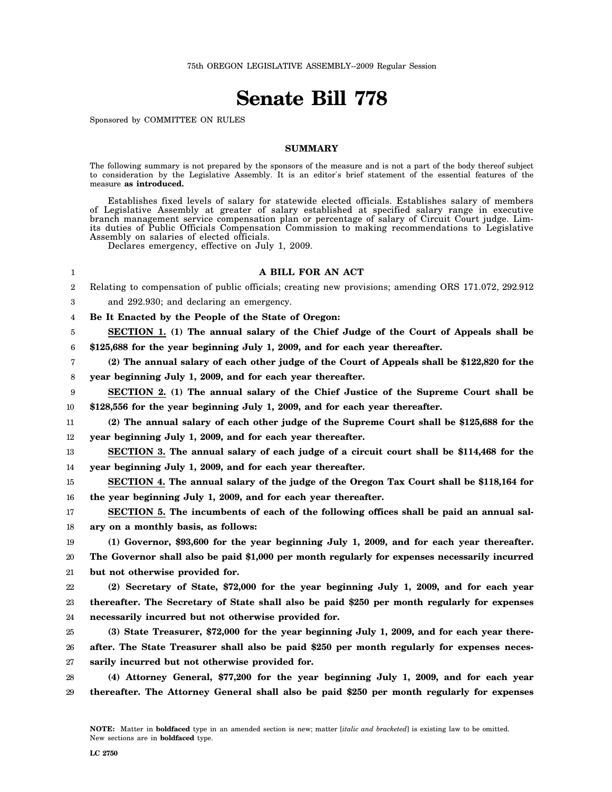## **Senate Bill 778**

Sponsored by COMMITTEE ON RULES

## **SUMMARY**

The following summary is not prepared by the sponsors of the measure and is not a part of the body thereof subject to consideration by the Legislative Assembly. It is an editor′s brief statement of the essential features of the measure **as introduced.**

Establishes fixed levels of salary for statewide elected officials. Establishes salary of members of Legislative Assembly at greater of salary established at specified salary range in executive branch management service compensation plan or percentage of salary of Circuit Court judge. Limits duties of Public Officials Compensation Commission to making recommendations to Legislative Assembly on salaries of elected officials.

Declares emergency, effective on July 1, 2009.

## **A BILL FOR AN ACT**

2 Relating to compensation of public officials; creating new provisions; amending ORS 171.072, 292.912

3 and 292.930; and declaring an emergency.

1

4 **Be It Enacted by the People of the State of Oregon:**

5 6 **SECTION 1. (1) The annual salary of the Chief Judge of the Court of Appeals shall be \$125,688 for the year beginning July 1, 2009, and for each year thereafter.**

- 7 **(2) The annual salary of each other judge of the Court of Appeals shall be \$122,820 for the**
- 8 **year beginning July 1, 2009, and for each year thereafter.**

9 10 **SECTION 2. (1) The annual salary of the Chief Justice of the Supreme Court shall be \$128,556 for the year beginning July 1, 2009, and for each year thereafter.**

11 12 **(2) The annual salary of each other judge of the Supreme Court shall be \$125,688 for the year beginning July 1, 2009, and for each year thereafter.**

13 14 **SECTION 3. The annual salary of each judge of a circuit court shall be \$114,468 for the year beginning July 1, 2009, and for each year thereafter.**

15 16 **SECTION 4. The annual salary of the judge of the Oregon Tax Court shall be \$118,164 for the year beginning July 1, 2009, and for each year thereafter.**

17 18 **SECTION 5. The incumbents of each of the following offices shall be paid an annual salary on a monthly basis, as follows:**

19 20 21 **(1) Governor, \$93,600 for the year beginning July 1, 2009, and for each year thereafter. The Governor shall also be paid \$1,000 per month regularly for expenses necessarily incurred but not otherwise provided for.**

22 23 24 **(2) Secretary of State, \$72,000 for the year beginning July 1, 2009, and for each year thereafter. The Secretary of State shall also be paid \$250 per month regularly for expenses necessarily incurred but not otherwise provided for.**

25 26 27 **(3) State Treasurer, \$72,000 for the year beginning July 1, 2009, and for each year thereafter. The State Treasurer shall also be paid \$250 per month regularly for expenses necessarily incurred but not otherwise provided for.**

28 29 **(4) Attorney General, \$77,200 for the year beginning July 1, 2009, and for each year thereafter. The Attorney General shall also be paid \$250 per month regularly for expenses**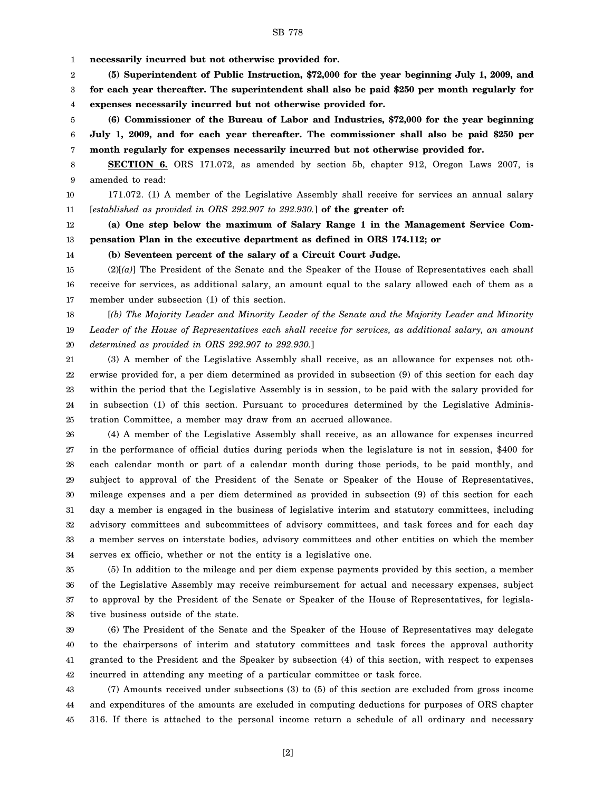- SB 778
- 1 **necessarily incurred but not otherwise provided for.**

2 3 4 **(5) Superintendent of Public Instruction, \$72,000 for the year beginning July 1, 2009, and for each year thereafter. The superintendent shall also be paid \$250 per month regularly for expenses necessarily incurred but not otherwise provided for.**

5 6 7 **(6) Commissioner of the Bureau of Labor and Industries, \$72,000 for the year beginning July 1, 2009, and for each year thereafter. The commissioner shall also be paid \$250 per month regularly for expenses necessarily incurred but not otherwise provided for.**

8 9 **SECTION 6.** ORS 171.072, as amended by section 5b, chapter 912, Oregon Laws 2007, is amended to read:

10 11 171.072. (1) A member of the Legislative Assembly shall receive for services an annual salary [*established as provided in ORS 292.907 to 292.930.*] **of the greater of:**

12 13 **(a) One step below the maximum of Salary Range 1 in the Management Service Compensation Plan in the executive department as defined in ORS 174.112; or**

14

## **(b) Seventeen percent of the salary of a Circuit Court Judge.**

15 16 17 (2)[*(a)*] The President of the Senate and the Speaker of the House of Representatives each shall receive for services, as additional salary, an amount equal to the salary allowed each of them as a member under subsection (1) of this section.

18 19 20 [*(b) The Majority Leader and Minority Leader of the Senate and the Majority Leader and Minority Leader of the House of Representatives each shall receive for services, as additional salary, an amount determined as provided in ORS 292.907 to 292.930.*]

21 22 23 24 25 (3) A member of the Legislative Assembly shall receive, as an allowance for expenses not otherwise provided for, a per diem determined as provided in subsection (9) of this section for each day within the period that the Legislative Assembly is in session, to be paid with the salary provided for in subsection (1) of this section. Pursuant to procedures determined by the Legislative Administration Committee, a member may draw from an accrued allowance.

26 27 28 29 30 31 32 33 34 (4) A member of the Legislative Assembly shall receive, as an allowance for expenses incurred in the performance of official duties during periods when the legislature is not in session, \$400 for each calendar month or part of a calendar month during those periods, to be paid monthly, and subject to approval of the President of the Senate or Speaker of the House of Representatives, mileage expenses and a per diem determined as provided in subsection (9) of this section for each day a member is engaged in the business of legislative interim and statutory committees, including advisory committees and subcommittees of advisory committees, and task forces and for each day a member serves on interstate bodies, advisory committees and other entities on which the member serves ex officio, whether or not the entity is a legislative one.

35 36 37 38 (5) In addition to the mileage and per diem expense payments provided by this section, a member of the Legislative Assembly may receive reimbursement for actual and necessary expenses, subject to approval by the President of the Senate or Speaker of the House of Representatives, for legislative business outside of the state.

39 40 41 42 (6) The President of the Senate and the Speaker of the House of Representatives may delegate to the chairpersons of interim and statutory committees and task forces the approval authority granted to the President and the Speaker by subsection (4) of this section, with respect to expenses incurred in attending any meeting of a particular committee or task force.

43 44 45 (7) Amounts received under subsections (3) to (5) of this section are excluded from gross income and expenditures of the amounts are excluded in computing deductions for purposes of ORS chapter 316. If there is attached to the personal income return a schedule of all ordinary and necessary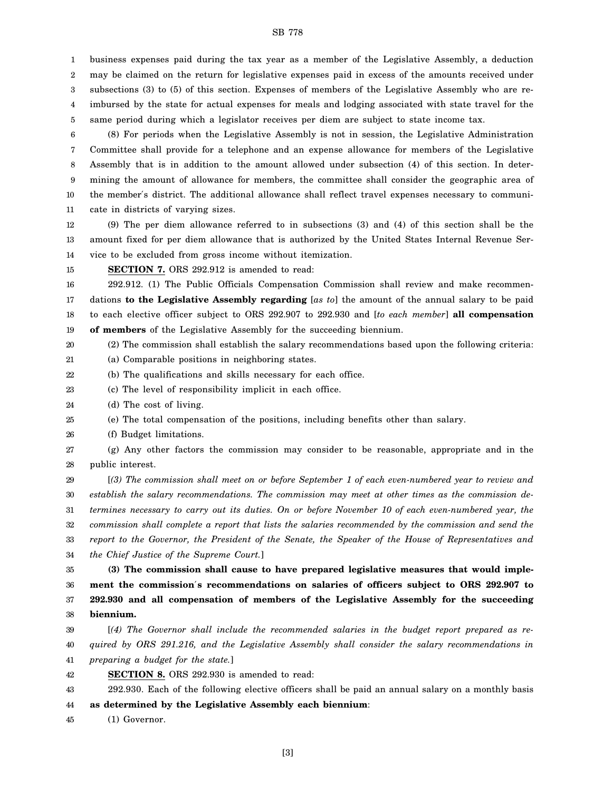SB 778

business expenses paid during the tax year as a member of the Legislative Assembly, a deduction

2 3 may be claimed on the return for legislative expenses paid in excess of the amounts received under subsections (3) to (5) of this section. Expenses of members of the Legislative Assembly who are re-

4 imbursed by the state for actual expenses for meals and lodging associated with state travel for the

5 same period during which a legislator receives per diem are subject to state income tax.

6 7 8 9 10 11 (8) For periods when the Legislative Assembly is not in session, the Legislative Administration Committee shall provide for a telephone and an expense allowance for members of the Legislative Assembly that is in addition to the amount allowed under subsection (4) of this section. In determining the amount of allowance for members, the committee shall consider the geographic area of the member′s district. The additional allowance shall reflect travel expenses necessary to communicate in districts of varying sizes.

12 13 14 (9) The per diem allowance referred to in subsections (3) and (4) of this section shall be the amount fixed for per diem allowance that is authorized by the United States Internal Revenue Service to be excluded from gross income without itemization.

15 **SECTION 7.** ORS 292.912 is amended to read:

16 17 18 19 292.912. (1) The Public Officials Compensation Commission shall review and make recommendations **to the Legislative Assembly regarding** [*as to*] the amount of the annual salary to be paid to each elective officer subject to ORS 292.907 to 292.930 and [*to each member*] **all compensation of members** of the Legislative Assembly for the succeeding biennium.

20 (2) The commission shall establish the salary recommendations based upon the following criteria:

21 (a) Comparable positions in neighboring states.

22 (b) The qualifications and skills necessary for each office.

23 (c) The level of responsibility implicit in each office.

24 (d) The cost of living.

1

25 (e) The total compensation of the positions, including benefits other than salary.

26 (f) Budget limitations.

27 28 (g) Any other factors the commission may consider to be reasonable, appropriate and in the public interest.

29 30 31 32 33 34 [*(3) The commission shall meet on or before September 1 of each even-numbered year to review and establish the salary recommendations. The commission may meet at other times as the commission determines necessary to carry out its duties. On or before November 10 of each even-numbered year, the commission shall complete a report that lists the salaries recommended by the commission and send the report to the Governor, the President of the Senate, the Speaker of the House of Representatives and the Chief Justice of the Supreme Court.*]

35 36 37 38 **(3) The commission shall cause to have prepared legislative measures that would implement the commission**′**s recommendations on salaries of officers subject to ORS 292.907 to 292.930 and all compensation of members of the Legislative Assembly for the succeeding biennium.**

39 40 41 [*(4) The Governor shall include the recommended salaries in the budget report prepared as required by ORS 291.216, and the Legislative Assembly shall consider the salary recommendations in preparing a budget for the state.*]

42 **SECTION 8.** ORS 292.930 is amended to read:

43 44 292.930. Each of the following elective officers shall be paid an annual salary on a monthly basis **as determined by the Legislative Assembly each biennium**:

45 (1) Governor.